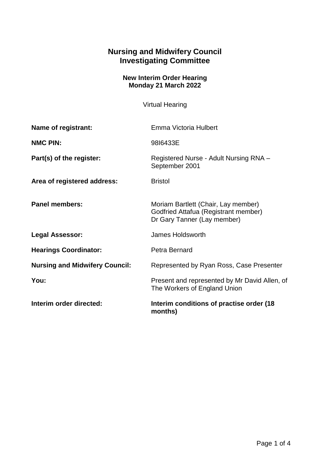## **Nursing and Midwifery Council Investigating Committee**

## **New Interim Order Hearing Monday 21 March 2022**

Virtual Hearing

| Name of registrant:                   | Emma Victoria Hulbert                                                                                      |
|---------------------------------------|------------------------------------------------------------------------------------------------------------|
| <b>NMC PIN:</b>                       | 9816433E                                                                                                   |
| Part(s) of the register:              | Registered Nurse - Adult Nursing RNA -<br>September 2001                                                   |
| Area of registered address:           | <b>Bristol</b>                                                                                             |
| <b>Panel members:</b>                 | Moriam Bartlett (Chair, Lay member)<br>Godfried Attafua (Registrant member)<br>Dr Gary Tanner (Lay member) |
| <b>Legal Assessor:</b>                | James Holdsworth                                                                                           |
| <b>Hearings Coordinator:</b>          | Petra Bernard                                                                                              |
| <b>Nursing and Midwifery Council:</b> | Represented by Ryan Ross, Case Presenter                                                                   |
| You:                                  | Present and represented by Mr David Allen, of<br>The Workers of England Union                              |
| Interim order directed:               | Interim conditions of practise order (18<br>months)                                                        |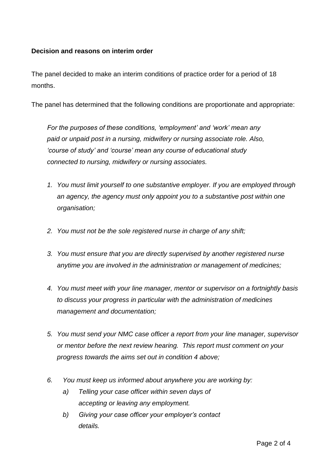## **Decision and reasons on interim order**

The panel decided to make an interim conditions of practice order for a period of 18 months.

The panel has determined that the following conditions are proportionate and appropriate:

*For the purposes of these conditions, 'employment' and 'work' mean any paid or unpaid post in a nursing, midwifery or nursing associate role. Also, 'course of study' and 'course' mean any course of educational study connected to nursing, midwifery or nursing associates.*

- *1. You must limit yourself to one substantive employer. If you are employed through an agency, the agency must only appoint you to a substantive post within one organisation;*
- *2. You must not be the sole registered nurse in charge of any shift;*
- *3. You must ensure that you are directly supervised by another registered nurse anytime you are involved in the administration or management of medicines;*
- *4. You must meet with your line manager, mentor or supervisor on a fortnightly basis to discuss your progress in particular with the administration of medicines management and documentation;*
- *5. You must send your NMC case officer a report from your line manager, supervisor or mentor before the next review hearing. This report must comment on your progress towards the aims set out in condition 4 above;*
- *6. You must keep us informed about anywhere you are working by:* 
	- *a) Telling your case officer within seven days of accepting or leaving any employment.*
	- *b) Giving your case officer your employer's contact details.*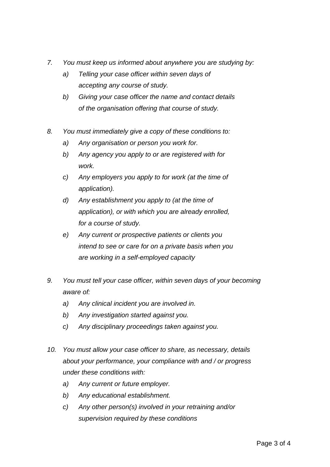- *7. You must keep us informed about anywhere you are studying by:* 
	- *a) Telling your case officer within seven days of accepting any course of study.*
	- *b) Giving your case officer the name and contact details of the organisation offering that course of study.*
- *8. You must immediately give a copy of these conditions to:* 
	- *a) Any organisation or person you work for.*
	- *b) Any agency you apply to or are registered with for work.*
	- *c) Any employers you apply to for work (at the time of application).*
	- *d) Any establishment you apply to (at the time of application), or with which you are already enrolled, for a course of study.*
	- *e) Any current or prospective patients or clients you intend to see or care for on a private basis when you are working in a self-employed capacity*
- *9. You must tell your case officer, within seven days of your becoming aware of:*
	- *a) Any clinical incident you are involved in.*
	- *b) Any investigation started against you.*
	- *c) Any disciplinary proceedings taken against you.*
- *10. You must allow your case officer to share, as necessary, details about your performance, your compliance with and / or progress under these conditions with:*
	- *a) Any current or future employer.*
	- *b) Any educational establishment.*
	- *c) Any other person(s) involved in your retraining and/or supervision required by these conditions*